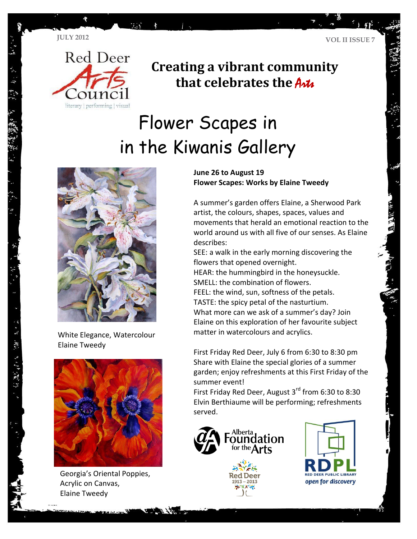

## **Creating a vibrant community that celebrates the Artic**

# Flower Scapes in in the Kiwanis Gallery



White Elegance, Watercolour Elaine Tweedy



Georgia's Oriental Poppies, Acrylic on Canvas, Elaine Tweedy

#### **June 26 to August 19 Flower Scapes: Works by Elaine Tweedy**

A summer's garden offers Elaine, a Sherwood Park artist, the colours, shapes, spaces, values and movements that herald an emotional reaction to the world around us with all five of our senses. As Elaine describes:

SEE: a walk in the early morning discovering the flowers that opened overnight.

HEAR: the hummingbird in the honeysuckle. SMELL: the combination of flowers.

FEEL: the wind, sun, softness of the petals. TASTE: the spicy petal of the nasturtium.

What more can we ask of a summer's day? Join Elaine on this exploration of her favourite subject matter in watercolours and acrylics.

First Friday Red Deer, July 6 from 6:30 to 8:30 pm Share with Elaine the special glories of a summer garden; enjoy refreshments at this First Friday of the summer event!

First Friday Red Deer, August 3rd from 6:30 to 8:30 Elvin Berthiaume will be performing; refreshments served.



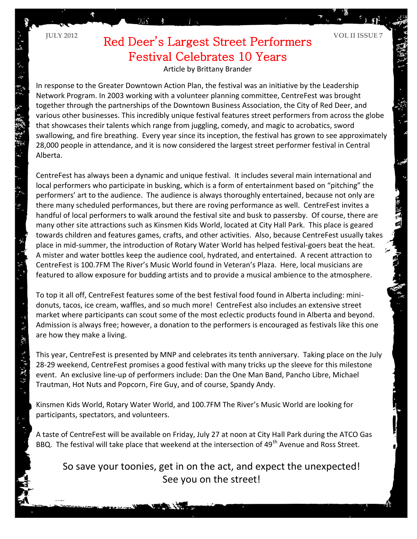$\epsilon$   $\mathcal{N}$  . AV,

**第5章** 

 $\ddot{\sim}$ 

## **JULY 2012 VOL II ISSUE 7** Red Deer's Largest Street Performers Festival Celebrates 10 Years

Article by Brittany Brander

In response to the Greater Downtown Action Plan, the festival was an initiative by the Leadership Network Program. In 2003 working with a volunteer planning committee, CentreFest was brought together through the partnerships of the Downtown Business Association, the City of Red Deer, and various other businesses. This incredibly unique festival features street performers from across the globe that showcases their talents which range from juggling, comedy, and magic to acrobatics, sword swallowing, and fire breathing. Every year since its inception, the festival has grown to see approximately 28,000 people in attendance, and it is now considered the largest street performer festival in Central Alberta.

CentreFest has always been a dynamic and unique festival. It includes several main international and local performers who participate in busking, which is a form of entertainment based on "pitching" the performers' art to the audience. The audience is always thoroughly entertained, because not only are there many scheduled performances, but there are roving performance as well. CentreFest invites a handful of local performers to walk around the festival site and busk to passersby. Of course, there are many other site attractions such as Kinsmen Kids World, located at City Hall Park. This place is geared towards children and features games, crafts, and other activities. Also, because CentreFest usually takes place in mid-summer, the introduction of Rotary Water World has helped festival-goers beat the heat. A mister and water bottles keep the audience cool, hydrated, and entertained. A recent attraction to CentreFest is 100.7FM The River's Music World found in Veteran's Plaza. Here, local musicians are featured to allow exposure for budding artists and to provide a musical ambience to the atmosphere.

To top it all off, CentreFest features some of the best festival food found in Alberta including: minidonuts, tacos, ice cream, waffles, and so much more! CentreFest also includes an extensive street market where participants can scout some of the most eclectic products found in Alberta and beyond. Admission is always free; however, a donation to the performers is encouraged as festivals like this one are how they make a living.

This year, CentreFest is presented by MNP and celebrates its tenth anniversary. Taking place on the July 28-29 weekend, CentreFest promises a good festival with many tricks up the sleeve for this milestone event. An exclusive line-up of performers include: Dan the One Man Band, Pancho Libre, Michael Trautman, Hot Nuts and Popcorn, Fire Guy, and of course, Spandy Andy.

Kinsmen Kids World, Rotary Water World, and 100.7FM The River's Music World are looking for participants, spectators, and volunteers.

A taste of CentreFest will be available on Friday, July 27 at noon at City Hall Park during the ATCO Gas BBQ. The festival will take place that weekend at the intersection of 49<sup>th</sup> Avenue and Ross Street.

So save your toonies, get in on the act, and expect the unexpected! See you on the street!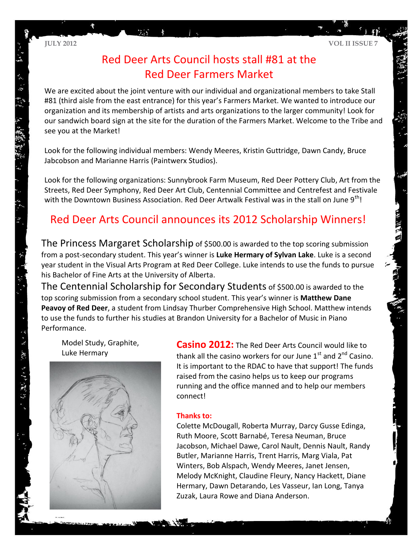贾

### Red Deer Arts Council hosts stall #81 at the Red Deer Farmers Market

We are excited about the joint venture with our individual and organizational members to take Stall #81 (third aisle from the east entrance) for this year's Farmers Market. We wanted to introduce our organization and its membership of artists and arts organizations to the larger community! Look for our sandwich board sign at the site for the duration of the Farmers Market. Welcome to the Tribe and see you at the Market!

Look for the following individual members: Wendy Meeres, Kristin Guttridge, Dawn Candy, Bruce Jabcobson and Marianne Harris (Paintwerx Studios).

Look for the following organizations: Sunnybrook Farm Museum, Red Deer Pottery Club, Art from the Streets, Red Deer Symphony, Red Deer Art Club, Centennial Committee and Centrefest and Festivale with the Downtown Business Association. Red Deer Artwalk Festival was in the stall on June  $9<sup>th</sup>$ !

### Red Deer Arts Council announces its 2012 Scholarship Winners!

The Princess Margaret Scholarship of \$500.00 is awarded to the top scoring submission from a post-secondary student. This year's winner is **Luke Hermary of Sylvan Lake**. Luke is a second year student in the Visual Arts Program at Red Deer College. Luke intends to use the funds to pursue his Bachelor of Fine Arts at the University of Alberta.

The Centennial Scholarship for Secondary Students of \$500.00 is awarded to the top scoring submission from a secondary school student. This year's winner is **Matthew Dane Peavoy of Red Deer**, a student from Lindsay Thurber Comprehensive High School. Matthew intends to use the funds to further his studies at Brandon University for a Bachelor of Music in Piano Performance.

Model Study, Graphite, Luke Hermary

· 3 - 双 3 - 2 - 2 - 2 - 2 - 2 - 2 -



**Casino 2012:** The Red Deer Arts Council would like to thank all the casino workers for our June  $1^{st}$  and  $2^{nd}$  Casino. It is important to the RDAC to have that support! The funds raised from the casino helps us to keep our programs running and the office manned and to help our members connect!

#### **Thanks to:**

Colette McDougall, Roberta Murray, Darcy Gusse Edinga, Ruth Moore, Scott Barnabé, Teresa Neuman, Bruce Jacobson, Michael Dawe, Carol Nault, Dennis Nault, Randy Butler, Marianne Harris, Trent Harris, Marg Viala, Pat Winters, Bob Alspach, Wendy Meeres, Janet Jensen, Melody McKnight, Claudine Fleury, Nancy Hackett, Diane Hermary, Dawn Detarando, Les Vasseur, Ian Long, Tanya Zuzak, Laura Rowe and Diana Anderson.